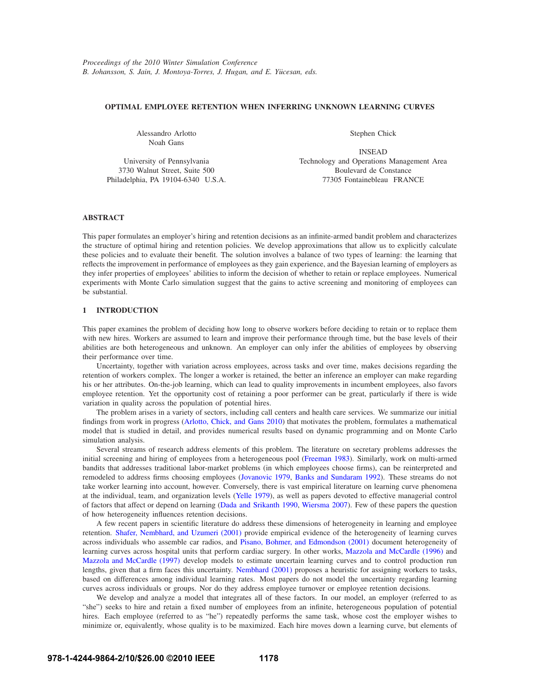# **OPTIMAL EMPLOYEE RETENTION WHEN INFERRING UNKNOWN LEARNING CURVES**

Alessandro Arlotto Noah Gans

University of Pennsylvania 3730 Walnut Street, Suite 500 Philadelphia, PA 19104-6340 U.S.A. Stephen Chick

INSEAD Technology and Operations Management Area Boulevard de Constance 77305 Fontainebleau FRANCE

# **ABSTRACT**

This paper formulates an employer's hiring and retention decisions as an infinite-armed bandit problem and characterizes the structure of optimal hiring and retention policies. We develop approximations that allow us to explicitly calculate these policies and to evaluate their benefit. The solution involves a balance of two types of learning: the learning that reflects the improvement in performance of employees as they gain experience, and the Bayesian learning of employers as they infer properties of employees' abilities to inform the decision of whether to retain or replace employees. Numerical experiments with Monte Carlo simulation suggest that the gains to active screening and monitoring of employees can be substantial.

# **1 INTRODUCTION**

This paper examines the problem of deciding how long to observe workers before deciding to retain or to replace them with new hires. Workers are assumed to learn and improve their performance through time, but the base levels of their abilities are both heterogeneous and unknown. An employer can only infer the abilities of employees by observing their performance over time.

Uncertainty, together with variation across employees, across tasks and over time, makes decisions regarding the retention of workers complex. The longer a worker is retained, the better an inference an employer can make regarding his or her attributes. On-the-job learning, which can lead to quality improvements in incumbent employees, also favors employee retention. Yet the opportunity cost of retaining a poor performer can be great, particularly if there is wide variation in quality across the population of potential hires.

The problem arises in a variety of sectors, including call centers and health care services. We summarize our initial findings from work in progress (Arlotto, Chick, and Gans 2010) that motivates the problem, formulates a mathematical model that is studied in detail, and provides numerical results based on dynamic programming and on Monte Carlo simulation analysis.

Several streams of research address elements of this problem. The literature on secretary problems addresses the initial screening and hiring of employees from a heterogeneous pool (Freeman 1983). Similarly, work on multi-armed bandits that addresses traditional labor-market problems (in which employees choose firms), can be reinterpreted and remodeled to address firms choosing employees (Jovanovic 1979, Banks and Sundaram 1992). These streams do not take worker learning into account, however. Conversely, there is vast empirical literature on learning curve phenomena at the individual, team, and organization levels (Yelle 1979), as well as papers devoted to effective managerial control of factors that affect or depend on learning (Dada and Srikanth 1990, Wiersma 2007). Few of these papers the question of how heterogeneity influences retention decisions.

A few recent papers in scientific literature do address these dimensions of heterogeneity in learning and employee retention. Shafer, Nembhard, and Uzumeri (2001) provide empirical evidence of the heterogeneity of learning curves across individuals who assemble car radios, and Pisano, Bohmer, and Edmondson (2001) document heterogeneity of learning curves across hospital units that perform cardiac surgery. In other works, Mazzola and McCardle (1996) and Mazzola and McCardle (1997) develop models to estimate uncertain learning curves and to control production run lengths, given that a firm faces this uncertainty. Nembhard (2001) proposes a heuristic for assigning workers to tasks, based on differences among individual learning rates. Most papers do not model the uncertainty regarding learning curves across individuals or groups. Nor do they address employee turnover or employee retention decisions.

We develop and analyze a model that integrates all of these factors. In our model, an employer (referred to as "she") seeks to hire and retain a fixed number of employees from an infinite, heterogeneous population of potential hires. Each employee (referred to as "he") repeatedly performs the same task, whose cost the employer wishes to minimize or, equivalently, whose quality is to be maximized. Each hire moves down a learning curve, but elements of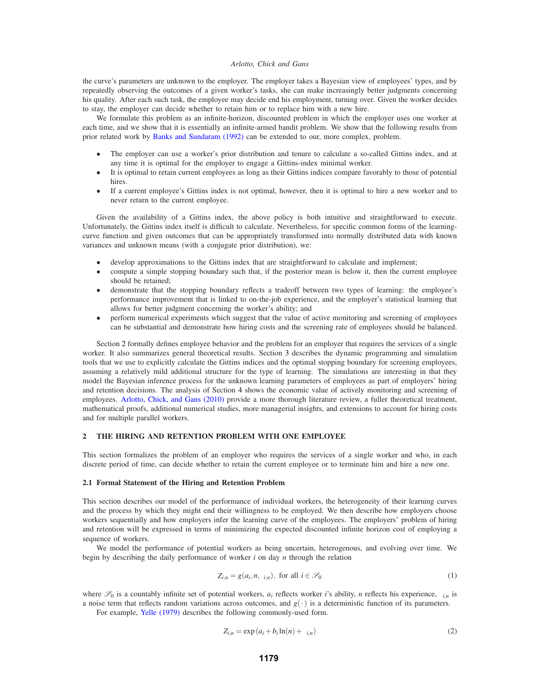the curve's parameters are unknown to the employer. The employer takes a Bayesian view of employees' types, and by repeatedly observing the outcomes of a given worker's tasks, she can make increasingly better judgments concerning his quality. After each such task, the employee may decide end his employment, turning over. Given the worker decides to stay, the employer can decide whether to retain him or to replace him with a new hire.

We formulate this problem as an infinite-horizon, discounted problem in which the employer uses one worker at each time, and we show that it is essentially an infinite-armed bandit problem. We show that the following results from prior related work by Banks and Sundaram (1992) can be extended to our, more complex, problem.

- The employer can use a worker's prior distribution and tenure to calculate a so-called Gittins index, and at any time it is optimal for the employer to engage a Gittins-index minimal worker.
- It is optimal to retain current employees as long as their Gittins indices compare favorably to those of potential hires.
- If a current employee's Gittins index is not optimal, however, then it is optimal to hire a new worker and to never return to the current employee.

Given the availability of a Gittins index, the above policy is both intuitive and straightforward to execute. Unfortunately, the Gittins index itself is difficult to calculate. Nevertheless, for specific common forms of the learningcurve function and given outcomes that can be appropriately transformed into normally distributed data with known variances and unknown means (with a conjugate prior distribution), we:

- develop approximations to the Gittins index that are straightforward to calculate and implement;
- compute a simple stopping boundary such that, if the posterior mean is below it, then the current employee should be retained;
- demonstrate that the stopping boundary reflects a tradeoff between two types of learning: the employee's performance improvement that is linked to on-the-job experience, and the employer's statistical learning that allows for better judgment concerning the worker's ability; and
- perform numerical experiments which suggest that the value of active monitoring and screening of employees can be substantial and demonstrate how hiring costs and the screening rate of employees should be balanced.

Section 2 formally defines employee behavior and the problem for an employer that requires the services of a single worker. It also summarizes general theoretical results. Section 3 describes the dynamic programming and simulation tools that we use to explicitly calculate the Gittins indices and the optimal stopping boundary for screening employees, assuming a relatively mild additional structure for the type of learning. The simulations are interesting in that they model the Bayesian inference process for the unknown learning parameters of employees as part of employers' hiring and retention decisions. The analysis of Section 4 shows the economic value of actively monitoring and screening of employees. Arlotto, Chick, and Gans (2010) provide a more thorough literature review, a fuller theoretical treatment, mathematical proofs, additional numerical studies, more managerial insights, and extensions to account for hiring costs and for multiple parallel workers.

## **2 THE HIRING AND RETENTION PROBLEM WITH ONE EMPLOYEE**

This section formalizes the problem of an employer who requires the services of a single worker and who, in each discrete period of time, can decide whether to retain the current employee or to terminate him and hire a new one.

## **2.1 Formal Statement of the Hiring and Retention Problem**

This section describes our model of the performance of individual workers, the heterogeneity of their learning curves and the process by which they might end their willingness to be employed. We then describe how employers choose workers sequentially and how employers infer the learning curve of the employees. The employers' problem of hiring and retention will be expressed in terms of minimizing the expected discounted infinite horizon cost of employing a sequence of workers.

We model the performance of potential workers as being uncertain, heterogenous, and evolving over time. We begin by describing the daily performance of worker *i* on day *n* through the relation

$$
Z_{i,n} = g(a_i, n, \varepsilon_{i,n}), \text{ for all } i \in \mathcal{S}_0
$$
 (1)

where  $\mathscr{S}_0$  is a countably infinite set of potential workers,  $a_i$  reflects worker *i*'s ability, *n* reflects his experience,  $\varepsilon_{i,n}$  is a noise term that reflects random variations across outcomes, and  $g(\cdot)$  is a deterministic function of its parameters.

For example, Yelle (1979) describes the following commonly-used form.

$$
Z_{i,n} = \exp(a_i + b_i \ln(n) + \varepsilon_{i,n})
$$
\n(2)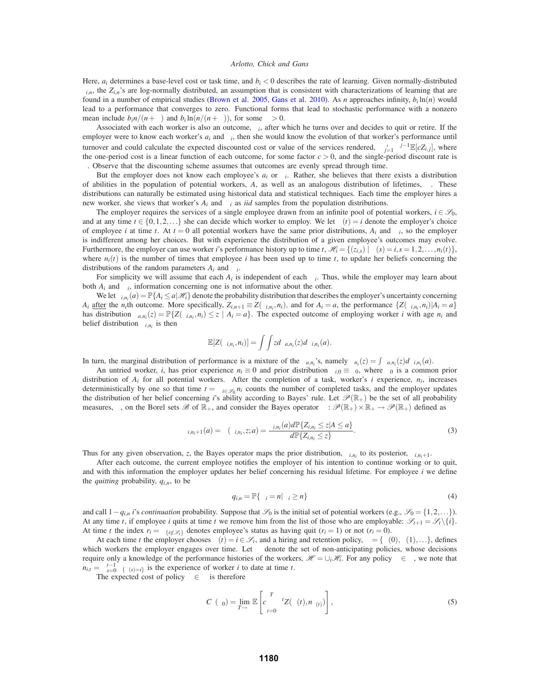Here,  $a_i$  determines a base-level cost or task time, and  $b_i < 0$  describes the rate of learning. Given normally-distributed  $\varepsilon_{i,n}$ , the  $Z_{i,n}$ 's are log-normally distributed, an assumption that is consistent with characterizations of learning that are found in a number of empirical studies (Brown et al. 2005, Gans et al. 2010). As *n* approaches infinity,  $b_i \ln(n)$  would lead to a performance that converges to zero. Functional forms that lead to stochastic performance with a nonzero mean include  $b_i n/(n+\zeta)$  and  $b_i \ln(n/(n+\zeta))$ , for some  $\zeta > 0$ .

Associated with each worker is also an outcome,  $\lambda_i$ , after which he turns over and decides to quit or retire. If the employer were to know each worker's  $a_i$  and  $\lambda_i$ , then she would know the evolution of that worker's performance until turnover and could calculate the expected discounted cost or value of the services rendered,  $\sum_{j=1}^{\lambda_i} \theta^{j-1} \mathbb{E}[cZ_{i,j}]$ , where the one-period cost is a linear function of each outcome, for some factor  $c > 0$ , and the single-period discount rate is θ. Observe that the discounting scheme assumes that outcomes are evenly spread through time.

But the employer does not know each employee's  $a_i$  or  $\lambda_i$ . Rather, she believes that there exists a distribution of abilities in the population of potential workers, *A*, as well as an analogous distribution of lifetimes, Λ. These distributions can naturally be estimated using historical data and statistical techniques. Each time the employer hires a new worker, she views that worker's *Ai* and Λ*<sup>i</sup>* as *iid* samples from the population distributions.

The employer requires the services of a single employee drawn from an infinite pool of potential workers,  $i \in \mathcal{S}_0$ , and at any time  $t \in \{0, 1, 2, \ldots\}$  she can decide which worker to employ. We let  $\pi(t) = i$  denote the employer's choice of employee *i* at time *t*. At  $t = 0$  all potential workers have the same prior distributions,  $A_i$  and  $\Lambda_i$ , so the employer is indifferent among her choices. But with experience the distribution of a given employee's outcomes may evolve. Furthermore, the employer can use worker *i*'s performance history up to time *t*,  $\mathcal{H}_i = \{ (z_{i,s}) \mid \pi(s) = i, s = 1, 2, \ldots, n_i(t) \}$ , where  $n_i(t)$  is the number of times that employee *i* has been used up to time *t*, to update her beliefs concerning the distributions of the random parameters *Ai* and Λ*i*.

For simplicity we will assume that each *Ai* is independent of each Λ*i*. Thus, while the employer may learn about both  $A_i$  and  $\Lambda_i$ , information concerning one is not informative about the other.

We let  $v_{i,n_i}(a) = \mathbb{P}\{A_i \le a | \mathcal{H}_i\}$  denote the probability distribution that describes the employer's uncertainty concerning  $A_i$  after the  $n_i$ th outcome. More specifically,  $Z_{i,n+1} \equiv Z(\mathbf{v}_{i,n_i}, n_i)$ , and for  $A_i = a$ , the performance  $\{Z(\mathbf{v}_{i,n_i}, n_i) | A_i = a\}$ has distribution  $\xi_{a,n_i}(z) = \mathbb{P}\{Z(v_{i,n_i}, n_i) \leq z \mid A_i = a\}$ . The expected outcome of employing worker *i* with age  $n_i$  and belief distribution  $v_{i,n_i}$  is then

$$
\mathbb{E}[Z(v_{i,n_i},n_i)]=\int\int z d\xi_{a,n_i}(z) d\nu_{i,n_i}(a).
$$

In turn, the marginal distribution of performance is a mixture of the  $\xi_{a,n_i}$ 's, namely  $\xi_{n_i}(z) = \int \xi_{a,n_i}(z) dV_{i,n_i}(a)$ .

An untried worker, *i*, has prior experience  $n_i \equiv 0$  and prior distribution  $v_{i,0} \equiv v_0$ , where  $v_0$  is a common prior distribution of  $A_i$  for all potential workers. After the completion of a task, worker's *i* experience,  $n_i$ , increases deterministically by one so that time  $t = \sum_{i \in \mathcal{S}_0} n_i$  counts the number of completed tasks, and the employer updates the distribution of her belief concerning *i*'s ability according to Bayes' rule. Let  $\mathscr{P}(\mathbb{R}_+)$  be the set of all probability measures, v, on the Borel sets  $\mathscr{B}$  of  $\mathbb{R}_+$ , and consider the Bayes operator  $\beta : \mathscr{P}(\mathbb{R}_+) \times \mathbb{R}_+ \to \mathscr{P}(\mathbb{R}_+)$  defined as

$$
v_{i,n_i+1}(a) = \beta(v_{i,n_i}, z; a) = \frac{v_{i,n_i}(a)d\mathbb{P}\{Z_{i,n_i} \leq z | A \leq a\}}{d\mathbb{P}\{Z_{i,n_i} \leq z\}}.
$$
\n(3)

Thus for any given observation, *z*, the Bayes operator maps the prior distribution,  $v_{i,n_i}$  to its posterior,  $v_{i,n_i+1}$ .

After each outcome, the current employee notifies the employer of his intention to continue working or to quit, and with this information the employer updates her belief concerning his residual lifetime. For employee *i* we define the *quitting* probability,  $q_{i,n}$ , to be

$$
q_{i,n} = \mathbb{P}\{\Lambda_i = n | \Lambda_i \ge n\}
$$
\n<sup>(4)</sup>

and call  $1-q_{i,n}$  *i*'s *continuation* probability. Suppose that  $\mathcal{S}_0$  is the initial set of potential workers (e.g.,  $\mathcal{S}_0 = \{1,2,\ldots\}$ ). At any time *t*, if employee *i* quits at time *t* we remove him from the list of those who are employable:  $\mathscr{S}_{t+1} = \mathscr{S}_t \setminus \{i\}$ . At time *t* the index  $r_i = \{i \notin \mathcal{S}_i\}$  denotes employee's status as having quit  $(r_i = 1)$  or not  $(r_i = 0)$ .

At each time *t* the employer chooses  $\pi(t) = i \in \mathcal{S}_t$ , and a hiring and retention policy,  $\pi = {\pi(0), \pi(1), \ldots}$ , defines which workers the employer engages over time. Let Π denote the set of non-anticipating policies, whose decisions require only a knowledge of the performance histories of the workers,  $\mathcal{H} = \cup_i \mathcal{H}_i$ . For any policy  $\pi \in \Pi$ , we note that  $n_{i,t} = \sum_{s=0}^{t-1} \{ \pi(s) = i \}$  is the experience of worker *i* to date at time *t*.

The expected cost of policy  $\pi \in \Pi$  is therefore

$$
C_{\pi}(v_0) = \lim_{T \to \infty} \mathbb{E}\left[c\sum_{t=0}^{T} \theta^t Z(\pi(t), n_{\pi(t)})\right],
$$
\n(5)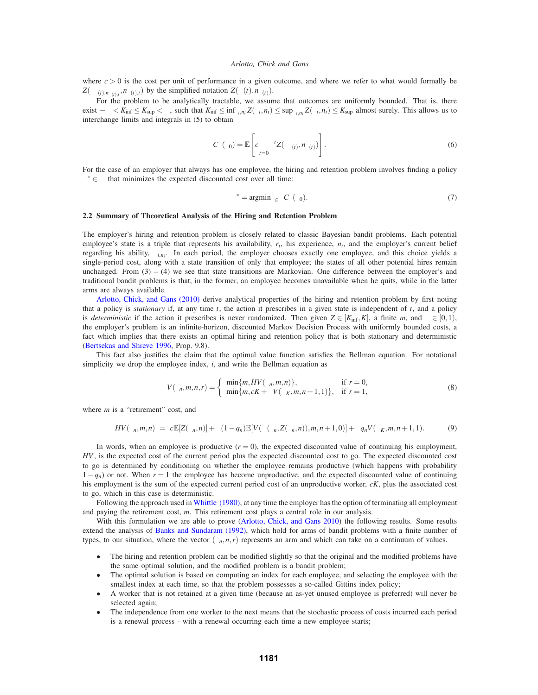where  $c > 0$  is the cost per unit of performance in a given outcome, and where we refer to what would formally be  $Z(\mathcal{V}_{\pi(t), n_{\pi(t),t}}, n_{\pi(t),t})$  by the simplified notation  $Z(\pi(t), n_{\pi(t)})$ .

For the problem to be analytically tractable, we assume that outcomes are uniformly bounded. That is, there exist  $-\infty$  < *K*<sub>inf</sub> ≤ *K*<sub>sup</sub> < ∞, such that  $K_{\text{inf}}$  ≤  $\inf_{V_i, n_i} Z(V_i, n_i)$  ≤  $\sup_{V_i, n_i} Z(V_i, n_i)$  ≤  $K_{\text{sup}}$  almost surely. This allows us to interchange limits and integrals in (5) to obtain

$$
C_{\pi}(v_0) = \mathbb{E}\left[c\sum_{t=0}^{\infty} \theta^t Z(v_{\pi(t)}, n_{\pi(t)})\right].
$$
 (6)

For the case of an employer that always has one employee, the hiring and retention problem involves finding a policy  $\pi^* \in \Pi$  that minimizes the expected discounted cost over all time:

$$
\pi^* = \operatorname{argmin}_{\pi \in \Pi} C_{\pi}(v_0). \tag{7}
$$

# **2.2 Summary of Theoretical Analysis of the Hiring and Retention Problem**

The employer's hiring and retention problem is closely related to classic Bayesian bandit problems. Each potential employee's state is a triple that represents his availability,  $r_i$ , his experience,  $n_i$ , and the employer's current belief regarding his ability, <sup>ν</sup>*i*,*ni* . In each period, the employer chooses exactly one employee, and this choice yields a single-period cost, along with a state transition of only that employee; the states of all other potential hires remain unchanged. From  $(3) - (4)$  we see that state transitions are Markovian. One difference between the employer's and traditional bandit problems is that, in the former, an employee becomes unavailable when he quits, while in the latter arms are always available.

Arlotto, Chick, and Gans (2010) derive analytical properties of the hiring and retention problem by first noting that a policy is *stationary* if, at any time *t*, the action it prescribes in a given state is independent of *t*, and a policy is *deterministic* if the action it prescribes is never randomized. Then given  $Z \in [K_{\text{inf}}, K]$ , a finite *m*, and  $\theta \in [0, 1)$ , the employer's problem is an infinite-horizon, discounted Markov Decision Process with uniformly bounded costs, a fact which implies that there exists an optimal hiring and retention policy that is both stationary and deterministic (Bertsekas and Shreve 1996, Prop. 9.8).

This fact also justifies the claim that the optimal value function satisfies the Bellman equation. For notational simplicity we drop the employee index,  $i$ , and write the Bellman equation as

$$
V(v_n, m, n, r) = \begin{cases} \min\{m, HV(v_n, m, n)\}, & \text{if } r = 0, \\ \min\{m, cK + \theta V(-K, m, n + 1, 1)\}, & \text{if } r = 1, \end{cases}
$$
(8)

where *m* is a "retirement" cost, and

$$
HV(v_n,m,n) = c\mathbb{E}[Z(v_n,n)] + \theta(1-q_n)\mathbb{E}[V(\beta(v_n,Z(v_n,n)),m,n+1,0)] + \theta q_n V(-\kappa,m,n+1,1).
$$
 (9)

In words, when an employee is productive  $(r = 0)$ , the expected discounted value of continuing his employment, *HV*, is the expected cost of the current period plus the expected discounted cost to go. The expected discounted cost to go is determined by conditioning on whether the employee remains productive (which happens with probability 1−*qn*) or not. When *r* = 1 the employee has become unproductive, and the expected discounted value of continuing his employment is the sum of the expected current period cost of an unproductive worker, *cK*, plus the associated cost to go, which in this case is deterministic.

Following the approach used in Whittle (1980), at any time the employer has the option of terminating all employment and paying the retirement cost, *m*. This retirement cost plays a central role in our analysis.

With this formulation we are able to prove (Arlotto, Chick, and Gans 2010) the following results. Some results extend the analysis of Banks and Sundaram (1992), which hold for arms of bandit problems with a finite number of types, to our situation, where the vector  $(v_n, n, r)$  represents an arm and which can take on a continuum of values.

- The hiring and retention problem can be modified slightly so that the original and the modified problems have the same optimal solution, and the modified problem is a bandit problem;
- The optimal solution is based on computing an index for each employee, and selecting the employee with the smallest index at each time, so that the problem possesses a so-called Gittins index policy;
- A worker that is not retained at a given time (because an as-yet unused employee is preferred) will never be selected again;
- The independence from one worker to the next means that the stochastic process of costs incurred each period is a renewal process - with a renewal occurring each time a new employee starts;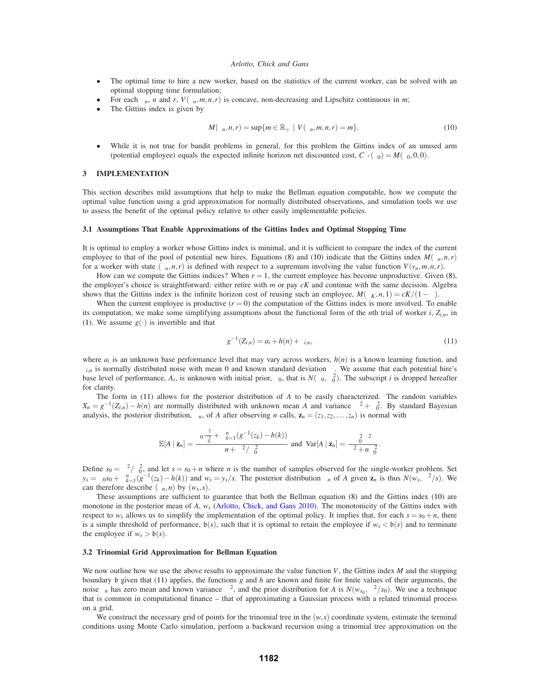- The optimal time to hire a new worker, based on the statistics of the current worker, can be solved with an optimal stopping time formulation;
- For each  $v_n$ , *n* and *r*,  $V(v_n, m, n, r)$  is concave, non-decreasing and Lipschitz continuous in *m*;
- The Gittins index is given by

$$
M(v_n, n, r) = \sup\{m \in \mathbb{R}_+ \mid V(v_n, m, n, r) = m\}.
$$
 (10)

• While it is not true for bandit problems in general, for this problem the Gittins index of an unused arm (potential employee) equals the expected infinite horizon net discounted cost,  $C_{\pi^*}(v_0) = M(v_0, 0, 0)$ .

## **3 IMPLEMENTATION**

This section describes mild assumptions that help to make the Bellman equation computable, how we compute the optimal value function using a grid approximation for normally distributed observations, and simulation tools we use to assess the benefit of the optimal policy relative to other easily implementable policies.

### **3.1 Assumptions That Enable Approximations of the Gittins Index and Optimal Stopping Time**

It is optimal to employ a worker whose Gittins index is minimal, and it is sufficient to compare the index of the current employee to that of the pool of potential new hires. Equations (8) and (10) indicate that the Gittins index  $M(v_n, n, r)$ for a worker with state  $(v_n, n, r)$  is defined with respect to a supremum involving the value function  $V(v_n, m, n, r)$ .

How can we compute the Gittins indices? When  $r = 1$ , the current employee has become unproductive. Given (8), the employer's choice is straightforward: either retire with *m* or pay *cK* and continue with the same decision. Algebra shows that the Gittins index is the infinite horizon cost of reusing such an employee,  $M(\kappa, n, 1) = cK/(1-\theta)$ .

When the current employee is productive  $(r = 0)$  the computation of the Gittins index is more involved. To enable its computation, we make some simplifying assumptions about the functional form of the *n*th trial of worker *i*, *Zi*,*n*, in (1). We assume  $g(\cdot)$  is invertible and that

$$
g^{-1}(Z_{i,n}) = a_i + h(n) + \varepsilon_{i,n},
$$
\n(11)

where  $a_i$  is an unknown base performance level that may vary across workers,  $h(n)$  is a known learning function, and  $\varepsilon$ <sub>*i,n*</sub> is normally distributed noise with mean 0 and known standard deviation  $\sigma$ . We assume that each potential hire's base level of performance,  $A_i$ , is unknown with initial prior,  $v_0$ , that is  $N(\mu_0, \sigma_0^2)$ . The subscript *i* is dropped hereafter for clarity.

The form in (11) allows for the posterior distribution of *A* to be easily characterized. The random variables  $X_n = g^{-1}(Z_{i,n}) - h(n)$  are normally distributed with unknown mean *A* and variance  $\sigma^2 + \sigma_0^2$ . By standard Bayesian analysis, the posterior distribution,  $v_n$ , of *A* after observing *n* calls,  $\mathbf{z}_n = (z_1, z_2, \dots, z_n)$  is normal with

$$
\mathbb{E}[A \mid \mathbf{z}_n] = \frac{\mu_0 \frac{\sigma^2}{\sigma_0^2} + \sum_{k=1}^n (g^{-1}(z_k) - h(k))}{n + \sigma^2 / \sigma_0^2}
$$
 and  $\text{Var}[A \mid \mathbf{z}_n] = \frac{\sigma_0^2 \sigma^2}{\sigma^2 + n \sigma_0^2}$ .

Define  $s_0 = \sigma^2/\sigma_0^2$ , and let  $s = s_0 + n$  where *n* is the number of samples observed for the single-worker problem. Set  $y_s = \mu_0 s_0 + \sum_{k=1}^n (g^{-1}(z_k) - h(k))$  and  $w_s = y_s/s$ . The posterior distribution  $v_n$  of A given  $z_n$  is thus  $N(w_s, \sigma^2/s)$ . We can therefore describe  $(v_n, n)$  by  $(w_s, s)$ .

These assumptions are sufficient to guarantee that both the Bellman equation (8) and the Gittins index (10) are monotone in the posterior mean of *A*, *ws* (Arlotto, Chick, and Gans 2010). The monotonicity of the Gittins index with respect to  $w_s$  allows us to simplify the implementation of the optimal policy. It implies that, for each  $s = s_0 + n$ , there is a simple threshold of performance,  $b(s)$ , such that it is optimal to retain the employee if  $w_s < b(s)$  and to terminate the employee if  $w_s > \mathfrak{b}(s)$ .

### **3.2 Trinomial Grid Approximation for Bellman Equation**

We now outline how we use the above results to approximate the value function *V*, the Gittins index *M* and the stopping boundary b given that (11) applies, the functions *g* and *h* are known and finite for finite values of their arguments, the noise  $ε_n$  has zero mean and known variance  $σ^2$ , and the prior distribution for *A* is  $N(w_{s_0}, σ^2/s_0)$ . We use a technique that is common in computational finance – that of approximating a Gaussian process with a related trinomial process on a grid.

We construct the necessary grid of points for the trinomial tree in the  $(w, s)$  coordinate system, estimate the terminal conditions using Monte Carlo simulation, perform a backward recursion using a trinomial tree approximation on the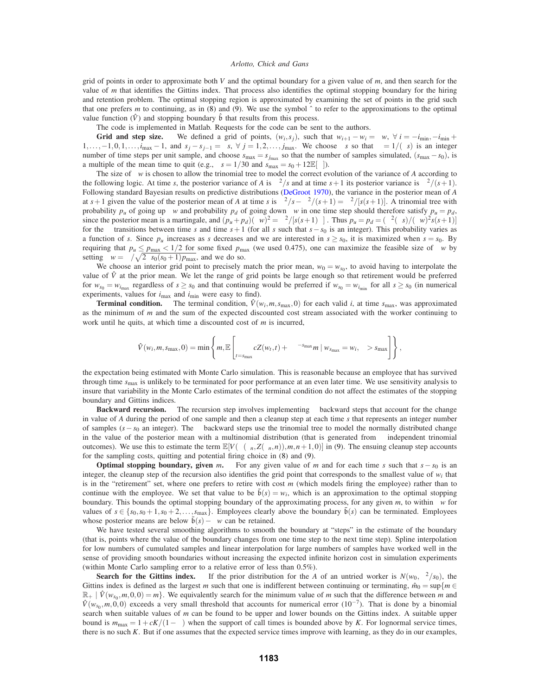grid of points in order to approximate both *V* and the optimal boundary for a given value of *m*, and then search for the value of *m* that identifies the Gittins index. That process also identifies the optimal stopping boundary for the hiring and retention problem. The optimal stopping region is approximated by examining the set of points in the grid such that one prefers *m* to continuing, as in (8) and (9). We use the symbol ˆ to refer to the approximations to the optimal value function  $(\hat{V})$  and stopping boundary  $\hat{b}$  that results from this process.

The code is implemented in Matlab. Requests for the code can be sent to the authors.

**Grid and step size.** We defined a grid of points,  $(w_i, s_j)$ , such that  $w_{i+1} - w_i = \Delta w$ ,  $\forall i = -i_{\min}, -i_{\min} + i_{\min}$ 1,...,-1,0,1,..., $i_{\text{max}} - 1$ , and  $s_j - s_{j-1} = \Delta s$ , ∀  $j = 1, 2, ..., j_{\text{max}}$ . We choose  $\Delta s$  so that  $\kappa = 1/(\Delta s)$  is an integer number of time steps per unit sample, and choose  $s_{\text{max}} = s_{j_{\text{max}}}$  so that the number of samples simulated,  $(s_{\text{max}} - s_0)$ , is a multiple of the mean time to quit (e.g.,  $\Delta s = 1/30$  and  $s_{\text{max}} = s_0 + 12\mathbb{E}[\Lambda]$ ).

The size of ∆*w* is chosen to allow the trinomial tree to model the correct evolution of the variance of *A* according to the following logic. At time *s*, the posterior variance of *A* is  $\sigma^2/s$  and at time  $s+1$  its posterior variance is  $\sigma^2/(s+1)$ . Following standard Bayesian results on predictive distributions (DeGroot 1970), the variance in the posterior mean of *A* at  $s+1$  given the value of the posterior mean of *A* at time *s* is  $\sigma^2/s-\sigma^2/(s+1) = \sigma^2/[s(s+1)]$ . A trinomial tree with probability  $p_u$  of going up  $\Delta w$  and probability  $p_d$  of going down  $\Delta w$  in one time step should therefore satisfy  $p_u = p_d$ , since the posterior mean is a martingale, and  $(p_u + p_d)(\Delta w)^2 = \sigma^2/[s(s+1)\kappa]$ . Thus  $p_u = p_d = (\sigma^2(\Delta s)/(\Delta w)^2 s(s+1))$ for the  $\kappa$  transitions between time *s* and time  $s+1$  (for all *s* such that  $s-s_0$  is an integer). This probability varies as a function of *s*. Since  $p_u$  increases as *s* decreases and we are interested in  $s \geq s_0$ , it is maximized when  $s = s_0$ . By requiring that  $p_u \le p_{\text{max}} < 1/2$  for some fixed  $p_{\text{max}}$  (we used 0.475), one can maximize the feasible size of  $\Delta w$  by setting  $\Delta w = \sigma / \sqrt{2\kappa s_0(s_0+1)p_{\text{max}}}$ , and we do so.

We choose an interior grid point to precisely match the prior mean,  $w_0 = w_{s_0}$ , to avoid having to interpolate the value of  $\hat{V}$  at the prior mean. We let the range of grid points be large enough so that retirement would be preferred for  $w_{s0} = w_{i_{\text{max}}}$  regardless of  $s \ge s_0$  and that continuing would be preferred if  $w_{s0} = w_{i_{\text{min}}}$  for all  $s \ge s_0$  (in numerical experiments, values for  $i_{\text{max}}$  and  $i_{\text{min}}$  were easy to find).

**Terminal condition.** The terminal condition,  $\hat{V}(w_i, m, s_{\text{max}}, 0)$  for each valid *i*, at time  $s_{\text{max}}$ , was approximated as the minimum of *m* and the sum of the expected discounted cost stream associated with the worker continuing to work until he quits, at which time a discounted cost of *m* is incurred,

$$
\hat{V}(w_i,m,s_{\max},0)=\min\left\{m,\mathbb{E}\left[\sum_{t=s_{\max}}^{\Lambda}cZ(w_t,t)+\theta^{\Lambda-s_{\max}}m\mid w_{s_{\max}}=w_i,\Lambda>s_{\max}\right]\right\},\,
$$

the expectation being estimated with Monte Carlo simulation. This is reasonable because an employee that has survived through time *s*max is unlikely to be terminated for poor performance at an even later time. We use sensitivity analysis to insure that variability in the Monte Carlo estimates of the terminal condition do not affect the estimates of the stopping boundary and Gittins indices.

**Backward recursion.** The recursion step involves implementing <sup>κ</sup> backward steps that account for the change in value of *A* during the period of one sample and then a cleanup step at each time *s* that represents an integer number of samples ( $s - s_0$  an integer). The  $\kappa$  backward steps use the trinomial tree to model the normally distributed change in the value of the posterior mean with a multinomial distribution (that is generated from  $\kappa$  independent trinomial outcomes). We use this to estimate the term  $\mathbb{E}[V(\beta(v_n,Z(v_n,n)),m,n+1,0)]$  in (9). The ensuing cleanup step accounts for the sampling costs, quitting and potential firing choice in (8) and (9).

**Optimal stopping boundary, given** *m*. For any given value of *m* and for each time *s* such that  $s - s_0$  is an integer, the cleanup step of the recursion also identifies the grid point that corresponds to the smallest value of  $w_i$  that is in the "retirement" set, where one prefers to retire with cost *m* (which models firing the employee) rather than to continue with the employee. We set that value to be  $\bar{b}(s) = w_i$ , which is an approximation to the optimal stopping boundary. This bounds the optimal stopping boundary of the approximating process, for any given *m*, to within ∆*w* for values of  $s \in \{s_0, s_0 + 1, s_0 + 2, \ldots, s_{\text{max}}\}$ . Employees clearly above the boundary  $\bar{b}(s)$  can be terminated. Employees whose posterior means are below  $\bar{b}(s) - \Delta w$  can be retained.

We have tested several smoothing algorithms to smooth the boundary at "steps" in the estimate of the boundary (that is, points where the value of the boundary changes from one time step to the next time step). Spline interpolation for low numbers of cumulated samples and linear interpolation for large numbers of samples have worked well in the sense of providing smooth boundaries without increasing the expected infinite horizon cost in simulation experiments (within Monte Carlo sampling error to a relative error of less than 0.5%).

**Search for the Gittins index.** If the prior distribution for the *A* of an untried worker is  $N(w_0, \sigma^2/s_0)$ , the Gittins index is defined as the largest *m* such that one is indifferent between continuing or terminating,  $\hat{m}_0 = \sup\{m \in \mathbb{R}^n : |m| \leq m\}$  $\mathbb{R}_+$  |  $\hat{V}(w_{s_0}, m, 0, 0) = m$ }. We equivalently search for the minimum value of *m* such that the difference between *m* and  $\hat{V}(w_{s_0},m,0,0)$  exceeds a very small threshold that accounts for numerical error (10<sup>-7</sup>). That is done by a binomial search when suitable values of *m* can be found to be upper and lower bounds on the Gittins index. A suitable upper bound is  $m_{\text{max}} = 1 + cK/(1-\theta)$  when the support of call times is bounded above by *K*. For lognormal service times, there is no such *K*. But if one assumes that the expected service times improve with learning, as they do in our examples,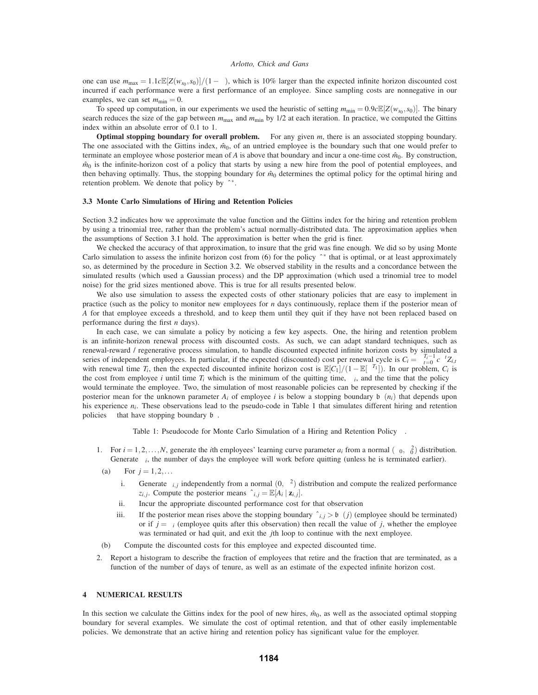one can use  $m_{\text{max}} = 1.1 cE[Z(w_{s_0}, s_0)]/(1-\theta)$ , which is 10% larger than the expected infinite horizon discounted cost incurred if each performance were a first performance of an employee. Since sampling costs are nonnegative in our examples, we can set  $m_{\text{min}} = 0$ .

To speed up computation, in our experiments we used the heuristic of setting  $m_{\text{min}} = 0.9cE[Z(w_{s_0}, s_0)]$ . The binary search reduces the size of the gap between  $m_{\text{max}}$  and  $m_{\text{min}}$  by 1/2 at each iteration. In practice, we computed the Gittins index within an absolute error of 0.1 to 1.

**Optimal stopping boundary for overall problem.** For any given *m*, there is an associated stopping boundary. The one associated with the Gittins index,  $\hat{m}_0$ , of an untried employee is the boundary such that one would prefer to terminate an employee whose posterior mean of  $A$  is above that boundary and incur a one-time cost  $\hat{m}_0$ . By construction,  $m<sub>0</sub>$  is the infinite-horizon cost of a policy that starts by using a new hire from the pool of potential employees, and then behaving optimally. Thus, the stopping boundary for  $\hat{m}_0$  determines the optimal policy for the optimal hiring and retention problem. We denote that policy by  $\hat{\pi}^*$ .

# **3.3 Monte Carlo Simulations of Hiring and Retention Policies**

Section 3.2 indicates how we approximate the value function and the Gittins index for the hiring and retention problem by using a trinomial tree, rather than the problem's actual normally-distributed data. The approximation applies when the assumptions of Section 3.1 hold. The approximation is better when the grid is finer.

We checked the accuracy of that approximation, to insure that the grid was fine enough. We did so by using Monte Carlo simulation to assess the infinite horizon cost from (6) for the policy  $\hat{\pi}^*$  that is optimal, or at least approximately so, as determined by the procedure in Section 3.2. We observed stability in the results and a concordance between the simulated results (which used a Gaussian process) and the DP approximation (which used a trinomial tree to model noise) for the grid sizes mentioned above. This is true for all results presented below.

We also use simulation to assess the expected costs of other stationary policies that are easy to implement in practice (such as the policy to monitor new employees for *n* days continuously, replace them if the posterior mean of *A* for that employee exceeds a threshold, and to keep them until they quit if they have not been replaced based on performance during the first *n* days).

In each case, we can simulate a policy by noticing a few key aspects. One, the hiring and retention problem is an infinite-horizon renewal process with discounted costs. As such, we can adapt standard techniques, such as renewal-reward / regenerative process simulation, to handle discounted expected infinite horizon costs by simulated a series of independent employees. In particular, if the expected (discounted) cost per renewal cycle is  $C_i = \sum_{t=0}^{T_i-1} c \theta^t Z_{i,t}$ with renewal time  $T_i$ , then the expected discounted infinite horizon cost is  $\mathbb{E}[C_1]/(1-\mathbb{E}[\theta^T])$ . In our problem,  $C_i$  is the cost from employee *i* until time  $T_i$  which is the minimum of the quitting time,  $\Lambda_i$ , and the time that the policy  $\pi$ would terminate the employee. Two, the simulation of most reasonable policies can be represented by checking if the posterior mean for the unknown parameter  $A_i$  of employee *i* is below a stopping boundary  $b_\pi(n_i)$  that depends upon his experience *ni*. These observations lead to the pseudo-code in Table 1 that simulates different hiring and retention policies  $\pi$  that have stopping boundary  $\mathfrak{b}_{\pi}$ .

Table 1: Pseudocode for Monte Carlo Simulation of a Hiring and Retention Policy  $\pi$ .

- 1. For  $i = 1, 2, ..., N$ , generate the *i*th employees' learning curve parameter  $a_i$  from a normal  $(\mu_0, \sigma_0^2)$  distribution. Generate  $\lambda_i$ , the number of days the employee will work before quitting (unless he is terminated earlier).
- (a) For  $j = 1, 2, ...$ 
	- i. Generate  $\varepsilon_{i,j}$  independently from a normal  $(0, \sigma^2)$  distribution and compute the realized performance *z*<sub>*i*,*j*</sub>. Compute the posterior means  $\hat{\mu}_{i,j} = \mathbb{E}[A_i | \mathbf{z}_{i,j}]$ .
	- ii. Incur the appropriate discounted performance cost for that observation
	- iii. If the posterior mean rises above the stopping boundary  $\hat{\mu}_{i,j} > \hat{b}_{\pi}(j)$  (employee should be terminated) or if  $j = \lambda_i$  (employee quits after this observation) then recall the value of *j*, whether the employee was terminated or had quit, and exit the *j*th loop to continue with the next employee.
- (b) Compute the discounted costs for this employee and expected discounted time.
- 2. Report a histogram to describe the fraction of employees that retire and the fraction that are terminated, as a function of the number of days of tenure, as well as an estimate of the expected infinite horizon cost.

### **4 NUMERICAL RESULTS**

In this section we calculate the Gittins index for the pool of new hires,  $\hat{m}_0$ , as well as the associated optimal stopping boundary for several examples. We simulate the cost of optimal retention, and that of other easily implementable policies. We demonstrate that an active hiring and retention policy has significant value for the employer.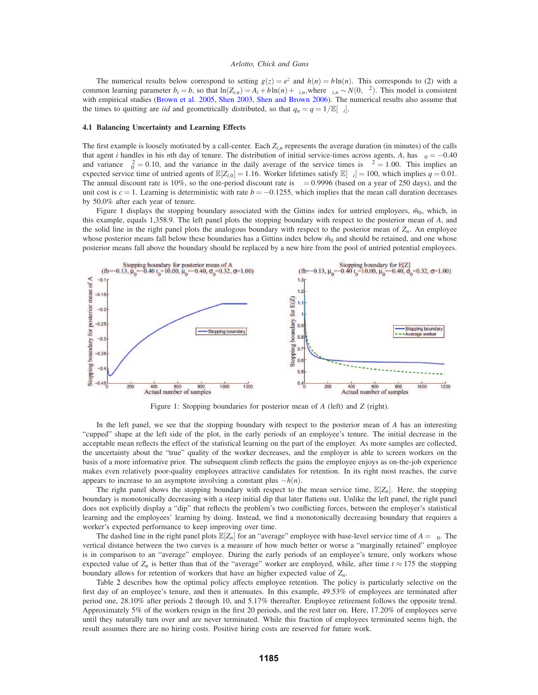The numerical results below correspond to setting  $g(z) = e^z$  and  $h(n) = b \ln(n)$ . This corresponds to (2) with a common learning parameter  $b_i = b$ , so that  $\ln(Z_{i,n}) = A_i + b \ln(n) + \varepsilon_{i,n}$ , where  $\varepsilon_{i,n} \sim N(0, \sigma^2)$ . This model is consistent with empirical studies (Brown et al. 2005, Shen 2003, Shen and Brown 2006). The numerical results also assume that the times to quitting are *iid* and geometrically distributed, so that  $q_n = q = 1/\mathbb{E}[\Lambda_i]$ .

### **4.1 Balancing Uncertainty and Learning Effects**

The first example is loosely motivated by a call-center. Each *Zi*,*<sup>n</sup>* represents the average duration (in minutes) of the calls that agent *i* handles in his *n*th day of tenure. The distribution of initial service-times across agents, *A*, has  $\mu_0 = -0.40$ and variance  $\sigma_0^2 = 0.10$ , and the variance in the daily average of the service times is  $\sigma^2 = 1.00$ . This implies an expected service time of untried agents of  $\mathbb{E}[Z_{i,0}] = 1.16$ . Worker lifetimes satisfy  $\mathbb{E}[\Lambda_i] = 100$ , which implies  $q = 0.01$ . The annual discount rate is 10%, so the one-period discount rate is  $\theta = 0.9996$  (based on a year of 250 days), and the unit cost is  $c = 1$ . Learning is deterministic with rate  $b = -0.1255$ , which implies that the mean call duration decreases by 50.0% after each year of tenure.

Figure 1 displays the stopping boundary associated with the Gittins index for untried employees,  $\hat{m}_0$ , which, in this example, equals 1,358.9. The left panel plots the stopping boundary with respect to the posterior mean of *A*, and the solid line in the right panel plots the analogous boundary with respect to the posterior mean of  $Z_n$ . An employee whose posterior means fall below these boundaries has a Gittins index below  $\hat{m}_0$  and should be retained, and one whose posterior means fall above the boundary should be replaced by a new hire from the pool of untried potential employees.



Figure 1: Stopping boundaries for posterior mean of *A* (left) and *Z* (right).

In the left panel, we see that the stopping boundary with respect to the posterior mean of *A* has an interesting "cupped" shape at the left side of the plot, in the early periods of an employee's tenure. The initial decrease in the acceptable mean reflects the effect of the statistical learning on the part of the employer. As more samples are collected, the uncertainty about the "true" quality of the worker decreases, and the employer is able to screen workers on the basis of a more informative prior. The subsequent climb reflects the gains the employee enjoys as on-the-job experience makes even relatively poor-quality employees attractive candidates for retention. In its right most reaches, the curve appears to increase to an asymptote involving a constant plus −*h*(*n*).

The right panel shows the stopping boundary with respect to the mean service time,  $\mathbb{E}[Z_n]$ . Here, the stopping boundary is monotonically decreasing with a steep initial dip that later flattens out. Unlike the left panel, the right panel does not explicitly display a "dip" that reflects the problem's two conflicting forces, between the employer's statistical learning and the employees' learning by doing. Instead, we find a monotonically decreasing boundary that requires a worker's expected performance to keep improving over time.

The dashed line in the right panel plots  $\mathbb{E}[Z_n]$  for an "average" employee with base-level service time of  $A = \mu_0$ . The vertical distance between the two curves is a measure of how much better or worse a "marginally retained" employee is in comparison to an "average" employee. During the early periods of an employee's tenure, only workers whose expected value of  $Z_n$  is better than that of the "average" worker are employed, while, after time  $t \approx 175$  the stopping boundary allows for retention of workers that have an higher expected value of *Zn*.

Table 2 describes how the optimal policy affects employee retention. The policy is particularly selective on the first day of an employee's tenure, and then it attenuates. In this example, 49.53% of employees are terminated after period one, 28.10% after periods 2 through 10, and 5.17% thereafter. Employee retirement follows the opposite trend. Approximately 5% of the workers resign in the first 20 periods, and the rest later on. Here, 17.20% of employees serve until they naturally turn over and are never terminated. While this fraction of employees terminated seems high, the result assumes there are no hiring costs. Positive hiring costs are reserved for future work.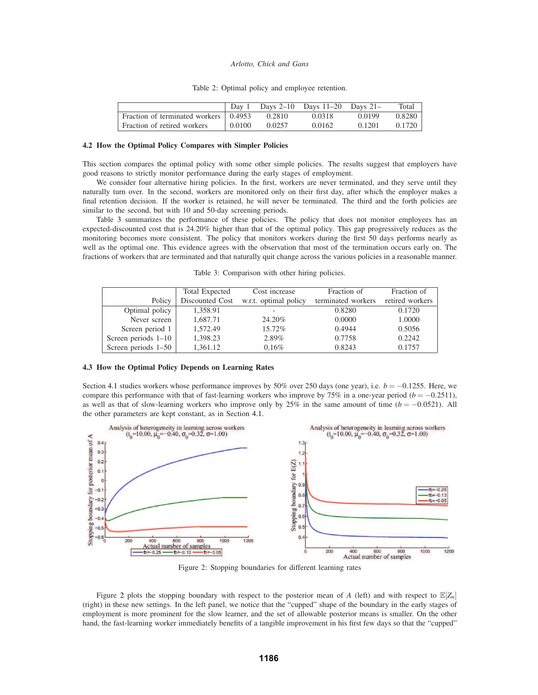|                                         |        |        | Day 1 Days 2–10 Days 11–20 Days 21– $\infty$ |        | Total  |
|-----------------------------------------|--------|--------|----------------------------------------------|--------|--------|
| Fraction of terminated workers   0.4953 |        | 0.2810 | 0.0318                                       | 0.0199 | 0.8280 |
| Fraction of retired workers             | 0.0100 | 0.0257 | 0.0162                                       | 0.1201 | 0.1720 |

Table 2: Optimal policy and employee retention.

### **4.2 How the Optimal Policy Compares with Simpler Policies**

This section compares the optimal policy with some other simple policies. The results suggest that employers have good reasons to strictly monitor performance during the early stages of employment.

We consider four alternative hiring policies. In the first, workers are never terminated, and they serve until they naturally turn over. In the second, workers are monitored only on their first day, after which the employer makes a final retention decision. If the worker is retained, he will never be terminated. The third and the forth policies are similar to the second, but with 10 and 50-day screening periods.

Table 3 summarizes the performance of these policies. The policy that does not monitor employees has an expected-discounted cost that is 24.20% higher than that of the optimal policy. This gap progressively reduces as the monitoring becomes more consistent. The policy that monitors workers during the first 50 days performs nearly as well as the optimal one. This evidence agrees with the observation that most of the termination occurs early on. The fractions of workers that are terminated and that naturally quit change across the various policies in a reasonable manner.

Table 3: Comparison with other hiring policies.

|                     | Total Expected  | Cost increase         | Fraction of        | Fraction of     |
|---------------------|-----------------|-----------------------|--------------------|-----------------|
| Policy              | Discounted Cost | w.r.t. optimal policy | terminated workers | retired workers |
| Optimal policy      | 1,358.91        | ٠                     | 0.8280             | 0.1720          |
| Never screen        | 1,687.71        | 24.20%                | 0.0000             | 1.0000          |
| Screen period 1     | 1,572.49        | 15.72%                | 0.4944             | 0.5056          |
| Screen periods 1-10 | 1,398.23        | 2.89%                 | 0.7758             | 0.2242          |
| Screen periods 1-50 | 1,361.12        | 0.16%                 | 0.8243             | 0.1757          |

## **4.3 How the Optimal Policy Depends on Learning Rates**

Section 4.1 studies workers whose performance improves by 50% over 250 days (one year), i.e. *b* = −0.1255. Here, we compare this performance with that of fast-learning workers who improve by 75% in a one-year period ( $b = -0.2511$ ), as well as that of slow-learning workers who improve only by 25% in the same amount of time  $(b = -0.0521)$ . All the other parameters are kept constant, as in Section 4.1.



Figure 2: Stopping boundaries for different learning rates

Figure 2 plots the stopping boundary with respect to the posterior mean of *A* (left) and with respect to  $\mathbb{E}[Z_n]$ (right) in these new settings. In the left panel, we notice that the "cupped" shape of the boundary in the early stages of employment is more prominent for the slow learner, and the set of allowable posterior means is smaller. On the other hand, the fast-learning worker immediately benefits of a tangible improvement in his first few days so that the "cupped"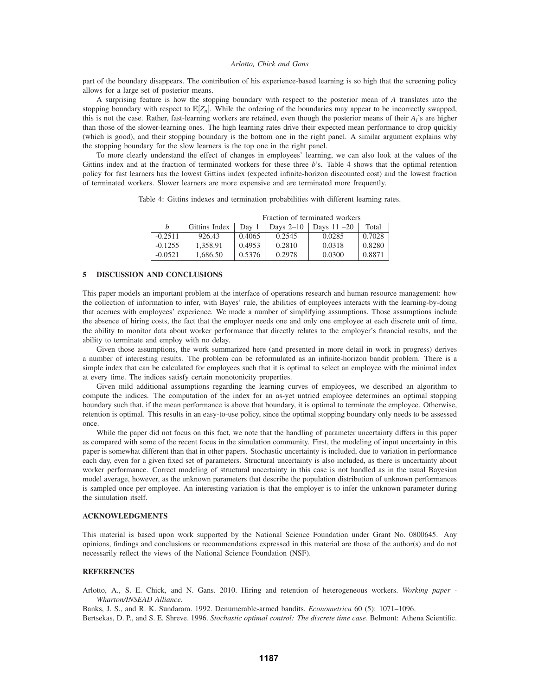part of the boundary disappears. The contribution of his experience-based learning is so high that the screening policy allows for a large set of posterior means.

A surprising feature is how the stopping boundary with respect to the posterior mean of *A* translates into the stopping boundary with respect to  $\mathbb{E}[Z_n]$ . While the ordering of the boundaries may appear to be incorrectly swapped, this is not the case. Rather, fast-learning workers are retained, even though the posterior means of their *Ai*'s are higher than those of the slower-learning ones. The high learning rates drive their expected mean performance to drop quickly (which is good), and their stopping boundary is the bottom one in the right panel. A similar argument explains why the stopping boundary for the slow learners is the top one in the right panel.

To more clearly understand the effect of changes in employees' learning, we can also look at the values of the Gittins index and at the fraction of terminated workers for these three *b*'s. Table 4 shows that the optimal retention policy for fast learners has the lowest Gittins index (expected infinite-horizon discounted cost) and the lowest fraction of terminated workers. Slower learners are more expensive and are terminated more frequently.

Table 4: Gittins indexes and termination probabilities with different learning rates.

|           |                             | Fraction of terminated workers |        |                            |        |  |  |
|-----------|-----------------------------|--------------------------------|--------|----------------------------|--------|--|--|
| h         | Gittins Index $\vert$ Day 1 |                                |        | Days $2-10$ Days $11 - 20$ | Total  |  |  |
| $-0.2511$ | 926.43                      | 0.4065                         | 0.2545 | 0.0285                     | 0.7028 |  |  |
| $-0.1255$ | 1.358.91                    | 0.4953                         | 0.2810 | 0.0318                     | 0.8280 |  |  |
| $-0.0521$ | 1.686.50                    | 0.5376                         | 0.2978 | 0.0300                     | 0.8871 |  |  |

**5 DISCUSSION AND CONCLUSIONS**

This paper models an important problem at the interface of operations research and human resource management: how the collection of information to infer, with Bayes' rule, the abilities of employees interacts with the learning-by-doing that accrues with employees' experience. We made a number of simplifying assumptions. Those assumptions include the absence of hiring costs, the fact that the employer needs one and only one employee at each discrete unit of time, the ability to monitor data about worker performance that directly relates to the employer's financial results, and the ability to terminate and employ with no delay.

Given those assumptions, the work summarized here (and presented in more detail in work in progress) derives a number of interesting results. The problem can be reformulated as an infinite-horizon bandit problem. There is a simple index that can be calculated for employees such that it is optimal to select an employee with the minimal index at every time. The indices satisfy certain monotonicity properties.

Given mild additional assumptions regarding the learning curves of employees, we described an algorithm to compute the indices. The computation of the index for an as-yet untried employee determines an optimal stopping boundary such that, if the mean performance is above that boundary, it is optimal to terminate the employee. Otherwise, retention is optimal. This results in an easy-to-use policy, since the optimal stopping boundary only needs to be assessed once.

While the paper did not focus on this fact, we note that the handling of parameter uncertainty differs in this paper as compared with some of the recent focus in the simulation community. First, the modeling of input uncertainty in this paper is somewhat different than that in other papers. Stochastic uncertainty is included, due to variation in performance each day, even for a given fixed set of parameters. Structural uncertainty is also included, as there is uncertainty about worker performance. Correct modeling of structural uncertainty in this case is not handled as in the usual Bayesian model average, however, as the unknown parameters that describe the population distribution of unknown performances is sampled once per employee. An interesting variation is that the employer is to infer the unknown parameter during the simulation itself.

# **ACKNOWLEDGMENTS**

This material is based upon work supported by the National Science Foundation under Grant No. 0800645. Any opinions, findings and conclusions or recommendations expressed in this material are those of the author(s) and do not necessarily reflect the views of the National Science Foundation (NSF).

### **REFERENCES**

Arlotto, A., S. E. Chick, and N. Gans. 2010. Hiring and retention of heterogeneous workers. *Working paper - Wharton/INSEAD Alliance*.

Banks, J. S., and R. K. Sundaram. 1992. Denumerable-armed bandits. *Econometrica* 60 (5): 1071–1096. Bertsekas, D. P., and S. E. Shreve. 1996. *Stochastic optimal control: The discrete time case*. Belmont: Athena Scientific.